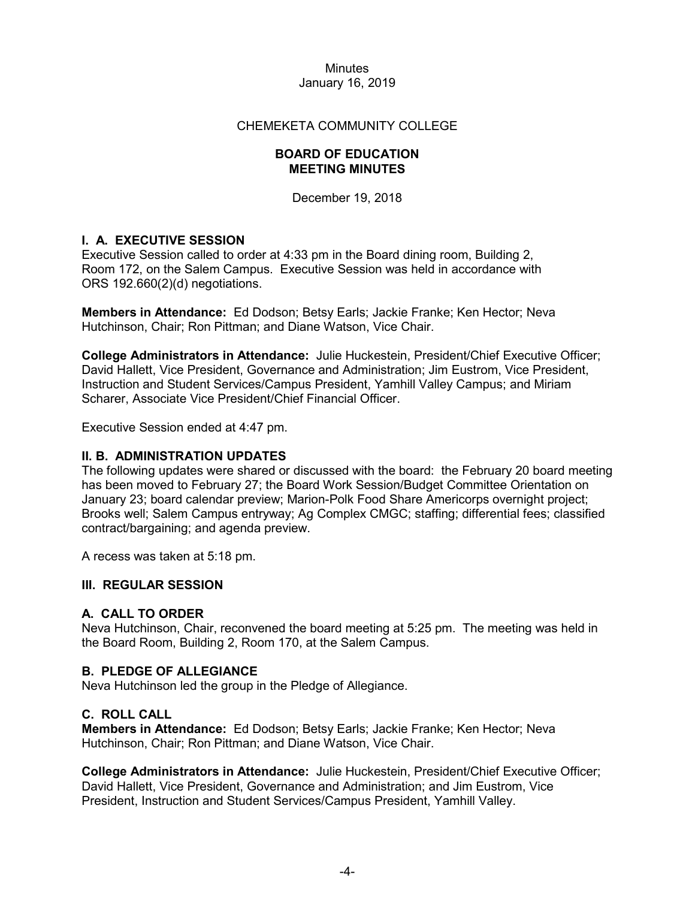# CHEMEKETA COMMUNITY COLLEGE

# **BOARD OF EDUCATION MEETING MINUTES**

December 19, 2018

# **I. A. EXECUTIVE SESSION**

Executive Session called to order at 4:33 pm in the Board dining room, Building 2, Room 172, on the Salem Campus. Executive Session was held in accordance with ORS 192.660(2)(d) negotiations.

**Members in Attendance:** Ed Dodson; Betsy Earls; Jackie Franke; Ken Hector; Neva Hutchinson, Chair; Ron Pittman; and Diane Watson, Vice Chair.

**College Administrators in Attendance:** Julie Huckestein, President/Chief Executive Officer; David Hallett, Vice President, Governance and Administration; Jim Eustrom, Vice President, Instruction and Student Services/Campus President, Yamhill Valley Campus; and Miriam Scharer, Associate Vice President/Chief Financial Officer.

Executive Session ended at 4:47 pm.

# **II. B. ADMINISTRATION UPDATES**

The following updates were shared or discussed with the board: the February 20 board meeting has been moved to February 27; the Board Work Session/Budget Committee Orientation on January 23; board calendar preview; Marion-Polk Food Share Americorps overnight project; Brooks well; Salem Campus entryway; Ag Complex CMGC; staffing; differential fees; classified contract/bargaining; and agenda preview.

A recess was taken at 5:18 pm.

# **III. REGULAR SESSION**

# **A. CALL TO ORDER**

Neva Hutchinson, Chair, reconvened the board meeting at 5:25 pm. The meeting was held in the Board Room, Building 2, Room 170, at the Salem Campus.

# **B. PLEDGE OF ALLEGIANCE**

Neva Hutchinson led the group in the Pledge of Allegiance.

# **C. ROLL CALL**

**Members in Attendance:** Ed Dodson; Betsy Earls; Jackie Franke; Ken Hector; Neva Hutchinson, Chair; Ron Pittman; and Diane Watson, Vice Chair.

**College Administrators in Attendance:** Julie Huckestein, President/Chief Executive Officer; David Hallett, Vice President, Governance and Administration; and Jim Eustrom, Vice President, Instruction and Student Services/Campus President, Yamhill Valley.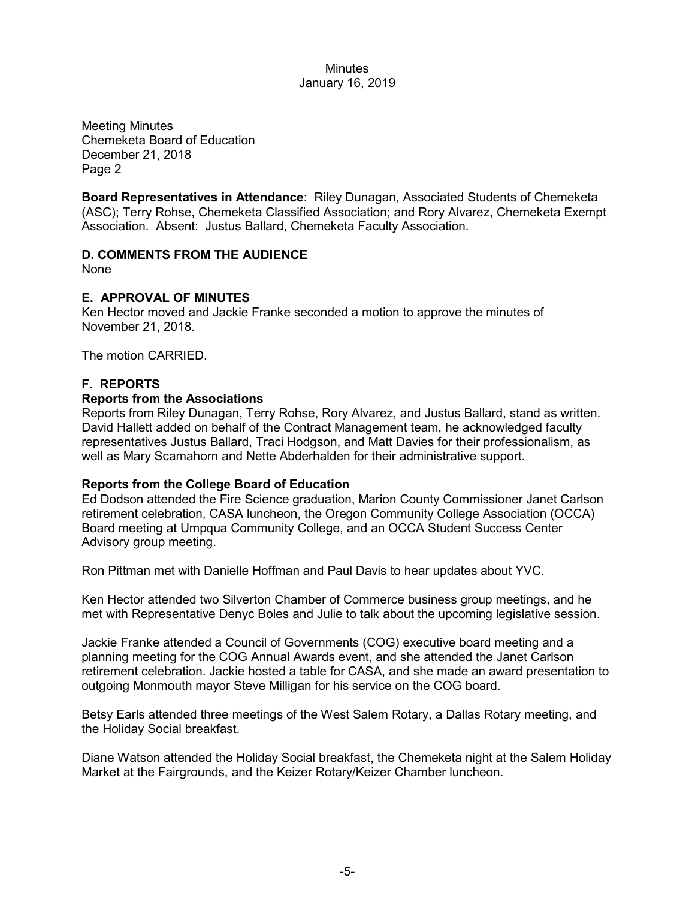Meeting Minutes Chemeketa Board of Education December 21, 2018 Page 2

**Board Representatives in Attendance**: Riley Dunagan, Associated Students of Chemeketa (ASC); Terry Rohse, Chemeketa Classified Association; and Rory Alvarez, Chemeketa Exempt Association. Absent: Justus Ballard, Chemeketa Faculty Association.

# **D. COMMENTS FROM THE AUDIENCE**

None

# **E. APPROVAL OF MINUTES**

Ken Hector moved and Jackie Franke seconded a motion to approve the minutes of November 21, 2018.

The motion CARRIED.

# **F. REPORTS**

# **Reports from the Associations**

Reports from Riley Dunagan, Terry Rohse, Rory Alvarez, and Justus Ballard, stand as written. David Hallett added on behalf of the Contract Management team, he acknowledged faculty representatives Justus Ballard, Traci Hodgson, and Matt Davies for their professionalism, as well as Mary Scamahorn and Nette Abderhalden for their administrative support.

# **Reports from the College Board of Education**

Ed Dodson attended the Fire Science graduation, Marion County Commissioner Janet Carlson retirement celebration, CASA luncheon, the Oregon Community College Association (OCCA) Board meeting at Umpqua Community College, and an OCCA Student Success Center Advisory group meeting.

Ron Pittman met with Danielle Hoffman and Paul Davis to hear updates about YVC.

Ken Hector attended two Silverton Chamber of Commerce business group meetings, and he met with Representative Denyc Boles and Julie to talk about the upcoming legislative session.

Jackie Franke attended a Council of Governments (COG) executive board meeting and a planning meeting for the COG Annual Awards event, and she attended the Janet Carlson retirement celebration. Jackie hosted a table for CASA, and she made an award presentation to outgoing Monmouth mayor Steve Milligan for his service on the COG board.

Betsy Earls attended three meetings of the West Salem Rotary, a Dallas Rotary meeting, and the Holiday Social breakfast.

Diane Watson attended the Holiday Social breakfast, the Chemeketa night at the Salem Holiday Market at the Fairgrounds, and the Keizer Rotary/Keizer Chamber luncheon.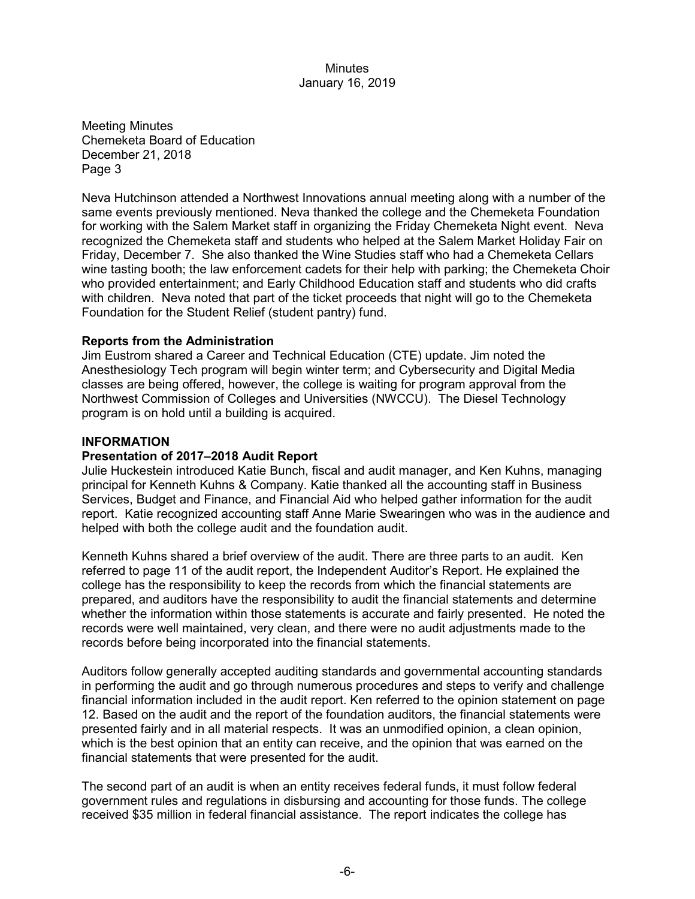Meeting Minutes Chemeketa Board of Education December 21, 2018 Page 3

Neva Hutchinson attended a Northwest Innovations annual meeting along with a number of the same events previously mentioned. Neva thanked the college and the Chemeketa Foundation for working with the Salem Market staff in organizing the Friday Chemeketa Night event. Neva recognized the Chemeketa staff and students who helped at the Salem Market Holiday Fair on Friday, December 7. She also thanked the Wine Studies staff who had a Chemeketa Cellars wine tasting booth; the law enforcement cadets for their help with parking; the Chemeketa Choir who provided entertainment; and Early Childhood Education staff and students who did crafts with children. Neva noted that part of the ticket proceeds that night will go to the Chemeketa Foundation for the Student Relief (student pantry) fund.

# **Reports from the Administration**

Jim Eustrom shared a Career and Technical Education (CTE) update. Jim noted the Anesthesiology Tech program will begin winter term; and Cybersecurity and Digital Media classes are being offered, however, the college is waiting for program approval from the Northwest Commission of Colleges and Universities (NWCCU). The Diesel Technology program is on hold until a building is acquired.

#### **INFORMATION**

#### **Presentation of 2017–2018 Audit Report**

Julie Huckestein introduced Katie Bunch, fiscal and audit manager, and Ken Kuhns, managing principal for Kenneth Kuhns & Company. Katie thanked all the accounting staff in Business Services, Budget and Finance, and Financial Aid who helped gather information for the audit report. Katie recognized accounting staff Anne Marie Swearingen who was in the audience and helped with both the college audit and the foundation audit.

Kenneth Kuhns shared a brief overview of the audit. There are three parts to an audit. Ken referred to page 11 of the audit report, the Independent Auditor's Report. He explained the college has the responsibility to keep the records from which the financial statements are prepared, and auditors have the responsibility to audit the financial statements and determine whether the information within those statements is accurate and fairly presented. He noted the records were well maintained, very clean, and there were no audit adjustments made to the records before being incorporated into the financial statements.

Auditors follow generally accepted auditing standards and governmental accounting standards in performing the audit and go through numerous procedures and steps to verify and challenge financial information included in the audit report. Ken referred to the opinion statement on page 12. Based on the audit and the report of the foundation auditors, the financial statements were presented fairly and in all material respects. It was an unmodified opinion, a clean opinion, which is the best opinion that an entity can receive, and the opinion that was earned on the financial statements that were presented for the audit.

The second part of an audit is when an entity receives federal funds, it must follow federal government rules and regulations in disbursing and accounting for those funds. The college received \$35 million in federal financial assistance. The report indicates the college has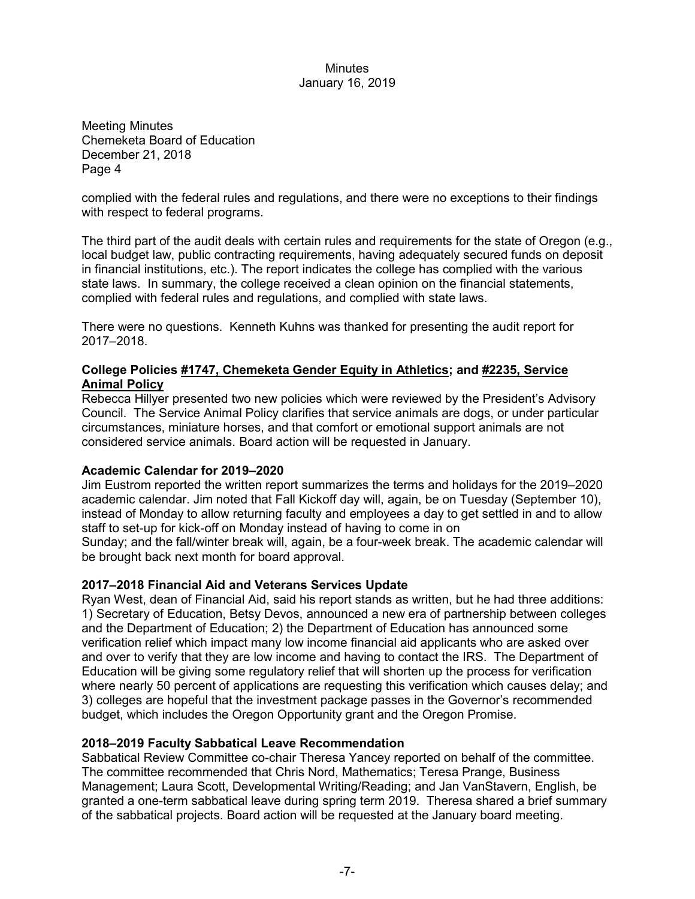Meeting Minutes Chemeketa Board of Education December 21, 2018 Page 4

complied with the federal rules and regulations, and there were no exceptions to their findings with respect to federal programs.

The third part of the audit deals with certain rules and requirements for the state of Oregon (e.g., local budget law, public contracting requirements, having adequately secured funds on deposit in financial institutions, etc.). The report indicates the college has complied with the various state laws. In summary, the college received a clean opinion on the financial statements, complied with federal rules and regulations, and complied with state laws.

There were no questions. Kenneth Kuhns was thanked for presenting the audit report for 2017–2018.

# **College Policies #1747, Chemeketa Gender Equity in Athletics; and #2235, Service Animal Policy**

Rebecca Hillyer presented two new policies which were reviewed by the President's Advisory Council. The Service Animal Policy clarifies that service animals are dogs, or under particular circumstances, miniature horses, and that comfort or emotional support animals are not considered service animals. Board action will be requested in January.

# **Academic Calendar for 2019–2020**

Jim Eustrom reported the written report summarizes the terms and holidays for the 2019–2020 academic calendar. Jim noted that Fall Kickoff day will, again, be on Tuesday (September 10), instead of Monday to allow returning faculty and employees a day to get settled in and to allow staff to set-up for kick-off on Monday instead of having to come in on Sunday; and the fall/winter break will, again, be a four-week break. The academic calendar will be brought back next month for board approval.

# **2017–2018 Financial Aid and Veterans Services Update**

Ryan West, dean of Financial Aid, said his report stands as written, but he had three additions: 1) Secretary of Education, Betsy Devos, announced a new era of partnership between colleges and the Department of Education; 2) the Department of Education has announced some verification relief which impact many low income financial aid applicants who are asked over and over to verify that they are low income and having to contact the IRS. The Department of Education will be giving some regulatory relief that will shorten up the process for verification where nearly 50 percent of applications are requesting this verification which causes delay; and 3) colleges are hopeful that the investment package passes in the Governor's recommended budget, which includes the Oregon Opportunity grant and the Oregon Promise.

# **2018–2019 Faculty Sabbatical Leave Recommendation**

Sabbatical Review Committee co-chair Theresa Yancey reported on behalf of the committee. The committee recommended that Chris Nord, Mathematics; Teresa Prange, Business Management; Laura Scott, Developmental Writing/Reading; and Jan VanStavern, English, be granted a one-term sabbatical leave during spring term 2019. Theresa shared a brief summary of the sabbatical projects. Board action will be requested at the January board meeting.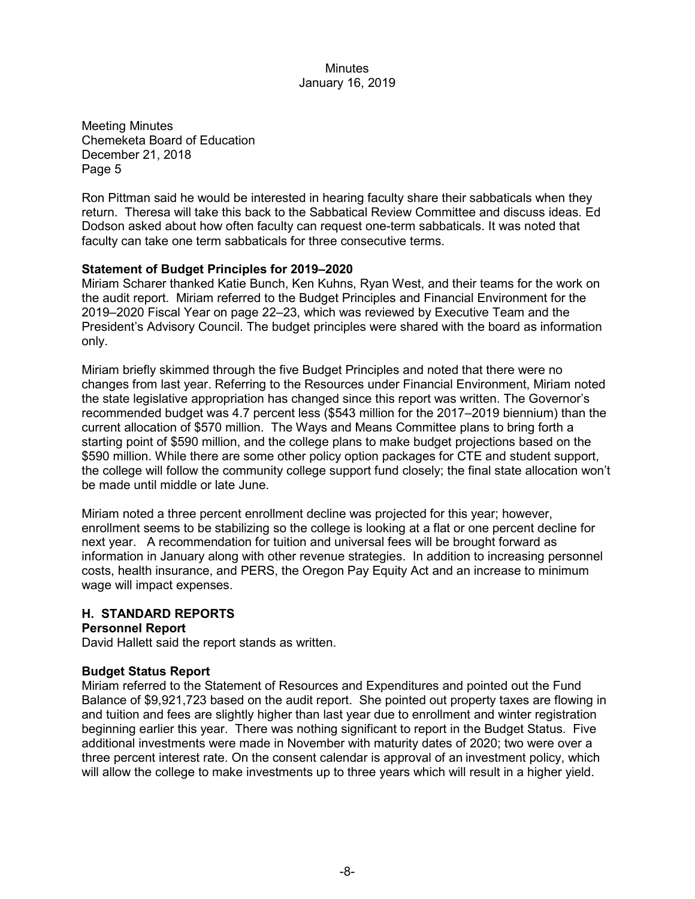Meeting Minutes Chemeketa Board of Education December 21, 2018 Page 5

Ron Pittman said he would be interested in hearing faculty share their sabbaticals when they return. Theresa will take this back to the Sabbatical Review Committee and discuss ideas. Ed Dodson asked about how often faculty can request one-term sabbaticals. It was noted that faculty can take one term sabbaticals for three consecutive terms.

# **Statement of Budget Principles for 2019–2020**

Miriam Scharer thanked Katie Bunch, Ken Kuhns, Ryan West, and their teams for the work on the audit report. Miriam referred to the Budget Principles and Financial Environment for the 2019–2020 Fiscal Year on page 22–23, which was reviewed by Executive Team and the President's Advisory Council. The budget principles were shared with the board as information only.

Miriam briefly skimmed through the five Budget Principles and noted that there were no changes from last year. Referring to the Resources under Financial Environment, Miriam noted the state legislative appropriation has changed since this report was written. The Governor's recommended budget was 4.7 percent less (\$543 million for the 2017–2019 biennium) than the current allocation of \$570 million. The Ways and Means Committee plans to bring forth a starting point of \$590 million, and the college plans to make budget projections based on the \$590 million. While there are some other policy option packages for CTE and student support, the college will follow the community college support fund closely; the final state allocation won't be made until middle or late June.

Miriam noted a three percent enrollment decline was projected for this year; however, enrollment seems to be stabilizing so the college is looking at a flat or one percent decline for next year. A recommendation for tuition and universal fees will be brought forward as information in January along with other revenue strategies. In addition to increasing personnel costs, health insurance, and PERS, the Oregon Pay Equity Act and an increase to minimum wage will impact expenses.

# **H. STANDARD REPORTS**

# **Personnel Report**

David Hallett said the report stands as written.

# **Budget Status Report**

Miriam referred to the Statement of Resources and Expenditures and pointed out the Fund Balance of \$9,921,723 based on the audit report. She pointed out property taxes are flowing in and tuition and fees are slightly higher than last year due to enrollment and winter registration beginning earlier this year. There was nothing significant to report in the Budget Status. Five additional investments were made in November with maturity dates of 2020; two were over a three percent interest rate. On the consent calendar is approval of an investment policy, which will allow the college to make investments up to three years which will result in a higher yield.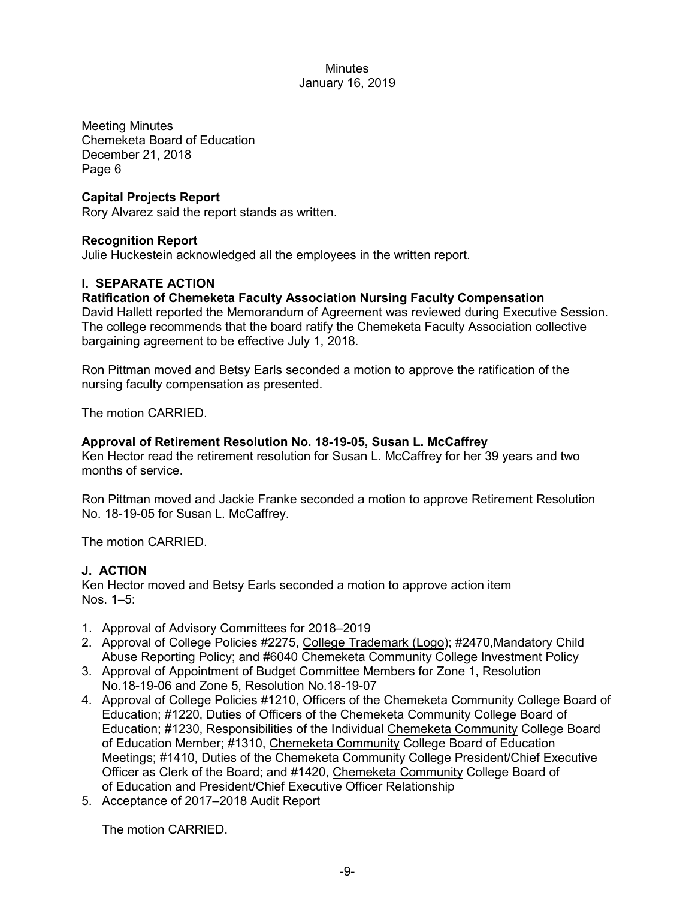Meeting Minutes Chemeketa Board of Education December 21, 2018 Page 6

# **Capital Projects Report**

Rory Alvarez said the report stands as written.

# **Recognition Report**

Julie Huckestein acknowledged all the employees in the written report.

# **I. SEPARATE ACTION**

# **Ratification of Chemeketa Faculty Association Nursing Faculty Compensation**

David Hallett reported the Memorandum of Agreement was reviewed during Executive Session. The college recommends that the board ratify the Chemeketa Faculty Association collective bargaining agreement to be effective July 1, 2018.

Ron Pittman moved and Betsy Earls seconded a motion to approve the ratification of the nursing faculty compensation as presented.

The motion CARRIED.

# **Approval of Retirement Resolution No. 18-19-05, Susan L. McCaffrey**

Ken Hector read the retirement resolution for Susan L. McCaffrey for her 39 years and two months of service.

Ron Pittman moved and Jackie Franke seconded a motion to approve Retirement Resolution No. 18-19-05 for Susan L. McCaffrey.

The motion CARRIED.

# **J. ACTION**

Ken Hector moved and Betsy Earls seconded a motion to approve action item Nos. 1–5:

- 1. Approval of Advisory Committees for 2018–2019
- 2. Approval of College Policies #2275, College Trademark (Logo); #2470, Mandatory Child Abuse Reporting Policy; and #6040 Chemeketa Community College Investment Policy
- 3. Approval of Appointment of Budget Committee Members for Zone 1, Resolution No.18-19-06 and Zone 5, Resolution No.18-19-07
- 4. Approval of College Policies #1210, Officers of the Chemeketa Community College Board of Education; #1220, Duties of Officers of the Chemeketa Community College Board of Education; #1230, Responsibilities of the Individual Chemeketa Community College Board of Education Member; #1310, Chemeketa Community College Board of Education Meetings; #1410, Duties of the Chemeketa Community College President/Chief Executive Officer as Clerk of the Board; and #1420, Chemeketa Community College Board of of Education and President/Chief Executive Officer Relationship
- 5. Acceptance of 2017–2018 Audit Report

The motion CARRIED.